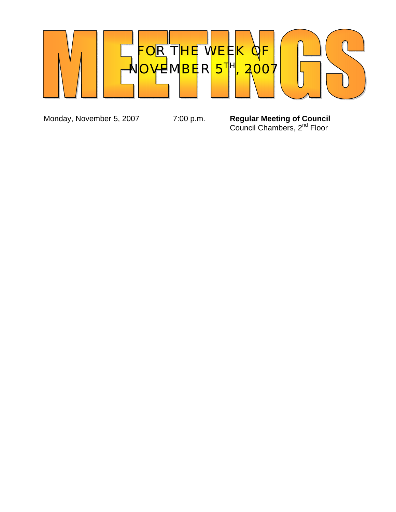

Monday, November 5, 2007 **7:00 p.m. Regular Meeting of Council Council Chambers, 2<sup>nd</sup> Floor**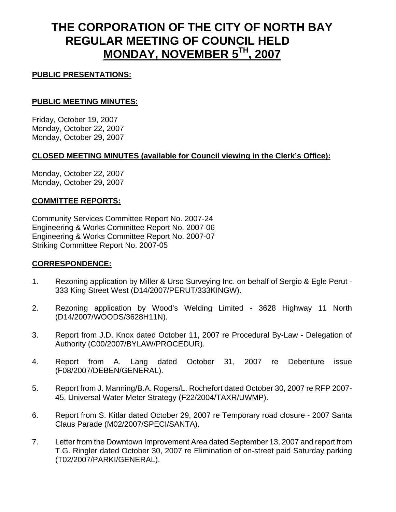# **THE CORPORATION OF THE CITY OF NORTH BAY REGULAR MEETING OF COUNCIL HELD MONDAY, NOVEMBER 5TH, 2007**

# **PUBLIC PRESENTATIONS:**

# **PUBLIC MEETING MINUTES:**

Friday, October 19, 2007 Monday, October 22, 2007 Monday, October 29, 2007

# **CLOSED MEETING MINUTES (available for Council viewing in the Clerk's Office):**

Monday, October 22, 2007 Monday, October 29, 2007

## **COMMITTEE REPORTS:**

Community Services Committee Report No. 2007-24 Engineering & Works Committee Report No. 2007-06 Engineering & Works Committee Report No. 2007-07 Striking Committee Report No. 2007-05

## **CORRESPONDENCE:**

- 1. Rezoning application by Miller & Urso Surveying Inc. on behalf of Sergio & Egle Perut 333 King Street West (D14/2007/PERUT/333KINGW).
- 2. Rezoning application by Wood's Welding Limited 3628 Highway 11 North (D14/2007/WOODS/3628H11N).
- 3. Report from J.D. Knox dated October 11, 2007 re Procedural By-Law Delegation of Authority (C00/2007/BYLAW/PROCEDUR).
- 4. Report from A. Lang dated October 31, 2007 re Debenture issue (F08/2007/DEBEN/GENERAL).
- 5. Report from J. Manning/B.A. Rogers/L. Rochefort dated October 30, 2007 re RFP 2007- 45, Universal Water Meter Strategy (F22/2004/TAXR/UWMP).
- 6. Report from S. Kitlar dated October 29, 2007 re Temporary road closure 2007 Santa Claus Parade (M02/2007/SPECI/SANTA).
- 7. Letter from the Downtown Improvement Area dated September 13, 2007 and report from T.G. Ringler dated October 30, 2007 re Elimination of on-street paid Saturday parking (T02/2007/PARKI/GENERAL).